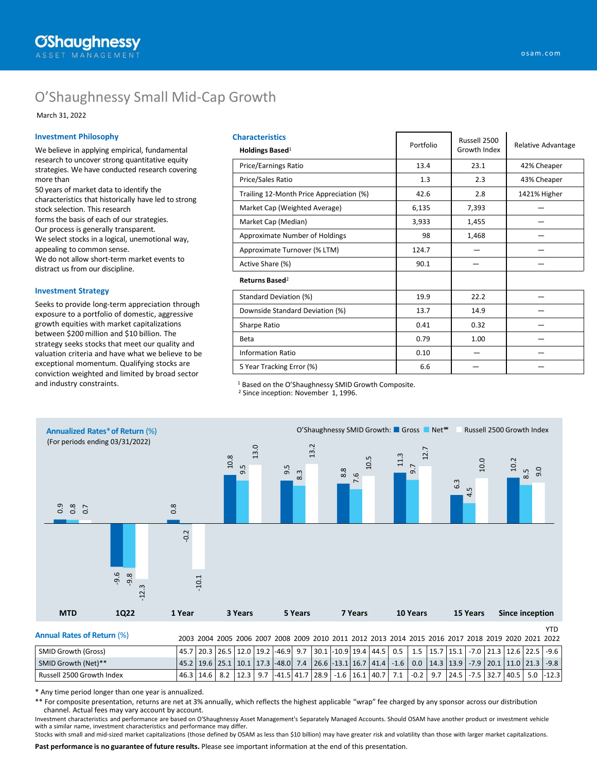# O'Shaughnessy Small Mid-Cap Growth

March 31, 2022

### **Investment Philosophy**

We believe in applying empirical, fundamental research to uncover strong quantitative equity strategies. We have conducted research covering more than

50 years of market data to identify the characteristics that historically have led to strong stock selection. This research forms the basis of each of our strategies. Our process is generally transparent. We select stocks in a logical, unemotional way, appealing to common sense. We do not allow short-term market events to distract us from our discipline.

### **Investment Strategy**

Seeks to provide long-term appreciation through exposure to a portfolio of domestic, aggressive growth equities with market capitalizations between \$200 million and \$10 billion. The strategy seeks stocks that meet our quality and valuation criteria and have what we believe to be exceptional momentum. Qualifying stocks are conviction weighted and limited by broad sector and industry constraints.

| <b>Characteristics</b><br>Holdings Based <sup>1</sup> | Portfolio | Russell 2500<br>Growth Index | Relative Advantage |  |  |
|-------------------------------------------------------|-----------|------------------------------|--------------------|--|--|
| Price/Earnings Ratio                                  | 13.4      | 23.1                         | 42% Cheaper        |  |  |
| Price/Sales Ratio                                     | 1.3       | 2.3                          | 43% Cheaper        |  |  |
| Trailing 12-Month Price Appreciation (%)              | 42.6      | 2.8                          | 1421% Higher       |  |  |
| Market Cap (Weighted Average)                         | 6,135     | 7,393                        |                    |  |  |
| Market Cap (Median)                                   | 3,933     | 1,455                        |                    |  |  |
| Approximate Number of Holdings                        | 98        | 1,468                        |                    |  |  |
| Approximate Turnover (% LTM)                          | 124.7     |                              |                    |  |  |
| Active Share (%)                                      | 90.1      |                              |                    |  |  |
| Returns Based <sup>2</sup>                            |           |                              |                    |  |  |
| Standard Deviation (%)                                | 19.9      | 22.2                         |                    |  |  |
| Downside Standard Deviation (%)                       | 13.7      | 14.9                         |                    |  |  |
| Sharpe Ratio                                          | 0.41      | 0.32                         |                    |  |  |
| Beta                                                  | 0.79      | 1.00                         |                    |  |  |
| <b>Information Ratio</b>                              | 0.10      |                              |                    |  |  |
| 5 Year Tracking Error (%)                             | 6.6       |                              |                    |  |  |

<sup>1</sup> Based on the O'Shaughnessy SMID Growth Composite.

<sup>2</sup> Since inception: November 1, 1996.



| <b>Annual Rates of Return (%)</b> |  |  |  |  |  |  |                                                                                                                                         |  |  |  | 2003 2004 2005 2006 2007 2008 2009 2010 2011 2012 2013 2014 2015 2016 2017 2018 2019 2020 2021 2022                                      |
|-----------------------------------|--|--|--|--|--|--|-----------------------------------------------------------------------------------------------------------------------------------------|--|--|--|------------------------------------------------------------------------------------------------------------------------------------------|
| SMID Growth (Gross)               |  |  |  |  |  |  |                                                                                                                                         |  |  |  | 45.7   20.3   26.5   12.0   19.2   -46.9   9.7   30.1   -10.9   19.4   44.5   0.5   1.5   15.7   15.1   -7.0   21.3   12.6   22.5   -9.6 |
| SMID Growth (Net)**               |  |  |  |  |  |  | 45.2   19.6   25.1   10.1   17.3   48.0   7.4   26.6   13.1   16.7   41.4   -1.6   0.0   14.3   13.9   -7.9   20.1   11.0   21.3   -9.8 |  |  |  |                                                                                                                                          |
| Russell 2500 Growth Index         |  |  |  |  |  |  |                                                                                                                                         |  |  |  | 46.3   14.6   8.2   12.3   9.7   -41.5   41.7   28.9   -1.6   16.1   40.7   7.1   -0.2   9.7   24.5   -7.5   32.7   40.5   5.0   -12.3   |

\* Any time period longer than one year is annualized.

\*\* For composite presentation, returns are net at 3% annually, which reflects the highest applicable "wrap" fee charged by any sponsor across our distribution channel. Actual fees may vary account by account.

Investment characteristics and performance are based on O'Shaughnessy Asset Management's Separately Managed Accounts. Should OSAM have another product or investment vehicle with a similar name, investment characteristics and performance may differ.

**Past performance is no guarantee of future results.** Please see important information at the end of this presentation. Stocks with small and mid-sized market capitalizations (those defined by OSAM as less than \$10 billion) may have greater risk and volatility than those with larger market capitalizations.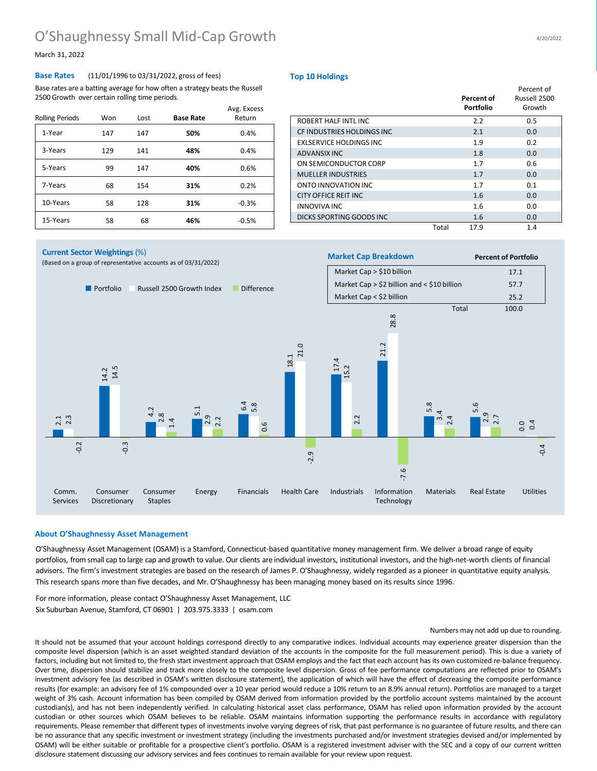## O'Shaughnessy Small Mid-Cap Growth

March 31, 2022

### **Base Rates** (11/01/1996 to 03/31/2022, gross of fees)

Base rates are a batting average for how often a strategy beats the Russell 2500 Growth over certain rolling time periods.

| <b>Rolling Periods</b> | Won | Lost | <b>Base Rate</b> | Avg. Excess<br>Return |
|------------------------|-----|------|------------------|-----------------------|
| 1-Year                 | 147 | 147  | 50%              | 0.4%                  |
| 3-Years                | 129 | 141  | 48%              | 0.4%                  |
| 5-Years                | 99  | 147  | 40%              | 0.6%                  |
| 7-Years                | 68  | 154  | 31%              | 0.2%                  |
| 10-Years               | 58  | 128  | 31%              | $-0.3%$               |
| 15-Years               | 58  | 68   | 46%              | $-0.5%$               |

#### **Top 10 Holdings**

|                            |       | Percent of<br><b>Portfolio</b> | Percent of<br>Russell 2500<br>Growth |
|----------------------------|-------|--------------------------------|--------------------------------------|
| ROBERT HALF INTL INC       |       | 2.2                            | 0.5                                  |
| CF INDUSTRIES HOLDINGS INC |       | 2.1                            | 0.0                                  |
| EXLSERVICE HOLDINGS INC    |       | 1.9                            | 0.2                                  |
| ADVANSIX INC               |       | 1.8                            | 0.0                                  |
| ON SEMICONDUCTOR CORP      |       | 1.7                            | 0.6                                  |
| <b>MUELLER INDUSTRIES</b>  |       | 1.7                            | 0.0                                  |
| ONTO INNOVATION INC.       |       | 1.7                            | 0.1                                  |
| CITY OFFICE REIT INC       |       | 1.6                            | 0.0                                  |
| INNOVIVA INC               |       | 1.6                            | 0.0                                  |
| DICKS SPORTING GOODS INC   |       | 1.6                            | 0.0                                  |
|                            | Total | 17.9                           | 1.4                                  |



### **About O'Shaughnessy Asset Management**

O'Shaughnessy Asset Management (OSAM) is a Stamford, Connecticut-based quantitative money management firm. We deliver a broad range of equity portfolios, from small cap to large cap and growth to value. Our clients are individual investors, institutional investors, and the high-net-worth clients of financial advisors. The firm's investment strategies are based on the research of James P. O'Shaughnessy, widely regarded as a pioneer in quantitative equity analysis. This research spans more than five decades, and Mr. O'Shaughnessy has been managing money based on its results since 1996.

For more information, please contact O'Shaughnessy Asset Management, LLC Six Suburban Avenue, Stamford, CT 06901 | 203.975.3333 | osam.com

#### Numbers may not add up due to rounding.

It should not be assumed that your account holdings correspond directly to any comparative indices. Individual accounts may experience greater dispersion than the composite level dispersion (which is an asset weighted standard deviation of the accounts in the composite for the full measurement period). This is due a variety of factors, including but not limited to, the fresh start investment approach that OSAM employs and the fact that each account has its own customized re-balance frequency. Over time, dispersion should stabilize and track more closely to the composite level dispersion. Gross of fee performance computations are reflected prior to OSAM's investment advisory fee (as described in OSAM's written disclosure statement), the application of which will have the effect of decreasing the composite performance results (for example: an advisory fee of 1% compounded over a 10 year period would reduce a 10% return to an 8.9% annual return). Portfolios are managed to a target weight of 3% cash. Account information has been compiled by OSAM derived from information provided by the portfolio account systems maintained by the account custodian(s), and has not been independently verified. In calculating historical asset class performance, OSAM has relied upon information provided by the account custodian or other sources which OSAM believes to be reliable. OSAM maintains information supporting the performance results in accordance with regulatory requirements. Please remember that different types of investments involve varying degrees of risk, that past performance is no guarantee of future results, and there can be no assurance that any specific investment or investment strategy (including the investments purchased and/or investment strategies devised and/or implemented by OSAM) will be either suitable or profitable for a prospective client's portfolio. OSAM is a registered investment adviser with the SEC and a copy of our current written disclosure statement discussing our advisory services and fees continues to remain available for your review upon request.